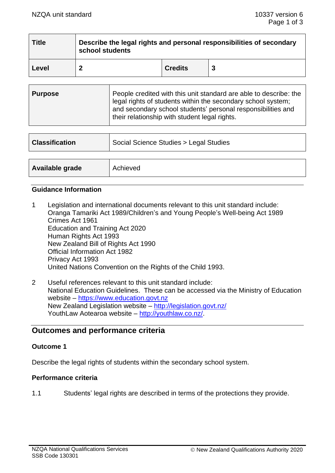| <b>Title</b> | Describe the legal rights and personal responsibilities of secondary<br>school students |                |  |  |
|--------------|-----------------------------------------------------------------------------------------|----------------|--|--|
| <b>Level</b> |                                                                                         | <b>Credits</b> |  |  |

| <b>Classification</b> | Social Science Studies > Legal Studies |  |
|-----------------------|----------------------------------------|--|
|                       |                                        |  |
| Available grade       | Achieved                               |  |

### **Guidance Information**

- 1 Legislation and international documents relevant to this unit standard include: Oranga Tamariki Act 1989/Children's and Young People's Well-being Act 1989 Crimes Act 1961 Education and Training Act 2020 Human Rights Act 1993 New Zealand Bill of Rights Act 1990 Official Information Act 1982 Privacy Act 1993 United Nations Convention on the Rights of the Child 1993.
- 2 Useful references relevant to this unit standard include: National Education Guidelines. These can be accessed via the Ministry of Education website – [https://www.education.govt.nz](https://www.education.govt.nz/) New Zealand Legislation website – <http://legislation.govt.nz/> YouthLaw Aotearoa website – [http://youthlaw.co.nz/.](http://youthlaw.co.nz/)

# **Outcomes and performance criteria**

## **Outcome 1**

Describe the legal rights of students within the secondary school system.

#### **Performance criteria**

1.1 Students' legal rights are described in terms of the protections they provide.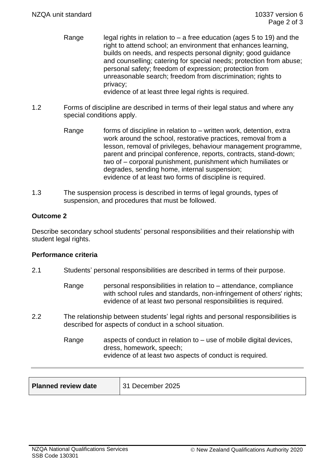- Range legal rights in relation to a free education (ages 5 to 19) and the right to attend school; an environment that enhances learning, builds on needs, and respects personal dignity; good guidance and counselling; catering for special needs; protection from abuse; personal safety; freedom of expression; protection from unreasonable search; freedom from discrimination; rights to privacy; evidence of at least three legal rights is required.
- 1.2 Forms of discipline are described in terms of their legal status and where any special conditions apply.
	- Range forms of discipline in relation to  $-$  written work, detention, extra work around the school, restorative practices, removal from a lesson, removal of privileges, behaviour management programme, parent and principal conference, reports, contracts, stand-down; two of – corporal punishment, punishment which humiliates or degrades, sending home, internal suspension; evidence of at least two forms of discipline is required.
- 1.3 The suspension process is described in terms of legal grounds, types of suspension, and procedures that must be followed.

## **Outcome 2**

Describe secondary school students' personal responsibilities and their relationship with student legal rights.

## **Performance criteria**

- 2.1 Students' personal responsibilities are described in terms of their purpose.
	- Range personal responsibilities in relation to attendance, compliance with school rules and standards, non-infringement of others' rights: evidence of at least two personal responsibilities is required.
- 2.2 The relationship between students' legal rights and personal responsibilities is described for aspects of conduct in a school situation.
	- Range aspects of conduct in relation to  $-$  use of mobile digital devices, dress, homework, speech; evidence of at least two aspects of conduct is required.

| <b>Planned review date</b><br>31 December 2025 |
|------------------------------------------------|
|------------------------------------------------|